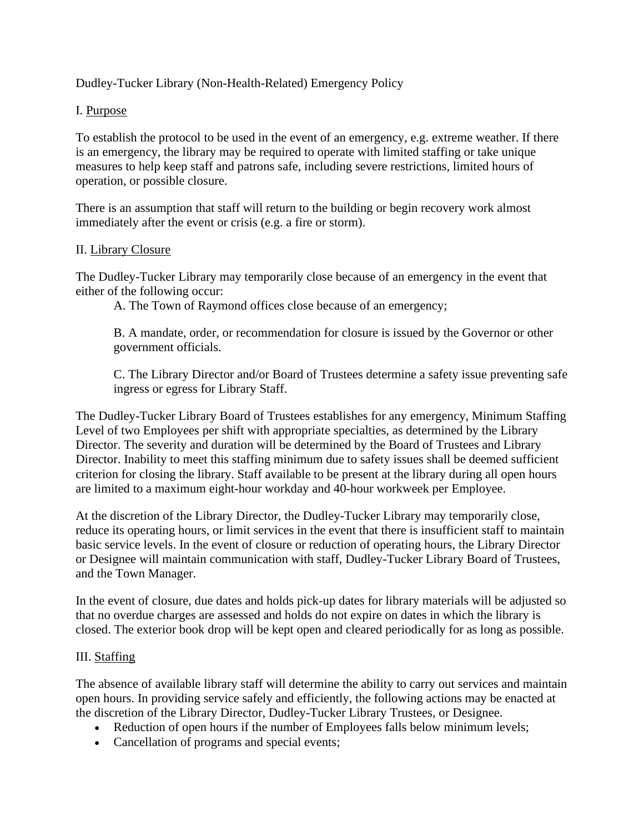Dudley-Tucker Library (Non-Health-Related) Emergency Policy

# I. Purpose

To establish the protocol to be used in the event of an emergency, e.g. extreme weather. If there is an emergency, the library may be required to operate with limited staffing or take unique measures to help keep staff and patrons safe, including severe restrictions, limited hours of operation, or possible closure.

There is an assumption that staff will return to the building or begin recovery work almost immediately after the event or crisis (e.g. a fire or storm).

## II. Library Closure

The Dudley-Tucker Library may temporarily close because of an emergency in the event that either of the following occur:

A. The Town of Raymond offices close because of an emergency;

B. A mandate, order, or recommendation for closure is issued by the Governor or other government officials.

C. The Library Director and/or Board of Trustees determine a safety issue preventing safe ingress or egress for Library Staff.

The Dudley-Tucker Library Board of Trustees establishes for any emergency, Minimum Staffing Level of two Employees per shift with appropriate specialties, as determined by the Library Director. The severity and duration will be determined by the Board of Trustees and Library Director. Inability to meet this staffing minimum due to safety issues shall be deemed sufficient criterion for closing the library. Staff available to be present at the library during all open hours are limited to a maximum eight-hour workday and 40-hour workweek per Employee.

At the discretion of the Library Director, the Dudley-Tucker Library may temporarily close, reduce its operating hours, or limit services in the event that there is insufficient staff to maintain basic service levels. In the event of closure or reduction of operating hours, the Library Director or Designee will maintain communication with staff, Dudley-Tucker Library Board of Trustees, and the Town Manager.

In the event of closure, due dates and holds pick-up dates for library materials will be adjusted so that no overdue charges are assessed and holds do not expire on dates in which the library is closed. The exterior book drop will be kept open and cleared periodically for as long as possible.

## III. Staffing

The absence of available library staff will determine the ability to carry out services and maintain open hours. In providing service safely and efficiently, the following actions may be enacted at the discretion of the Library Director, Dudley-Tucker Library Trustees, or Designee.

- Reduction of open hours if the number of Employees falls below minimum levels;
- Cancellation of programs and special events;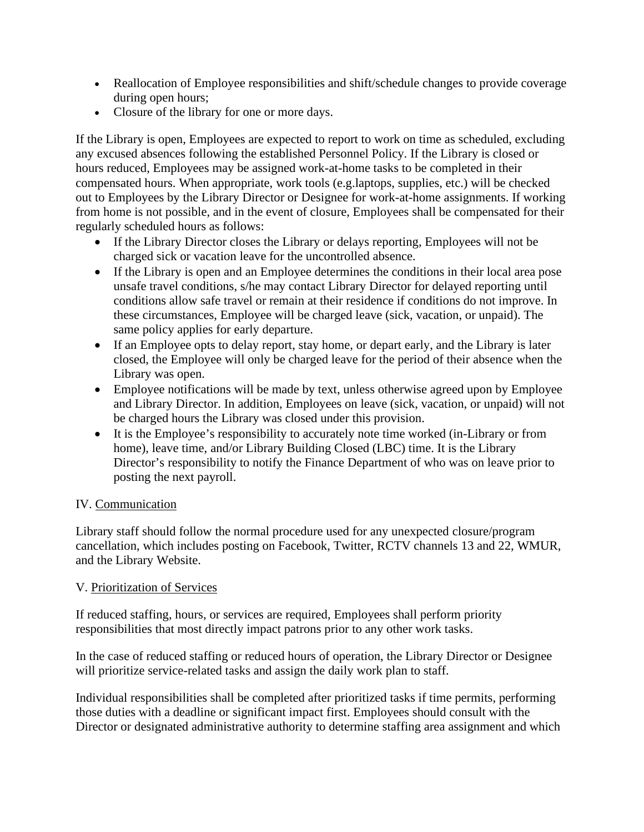- Reallocation of Employee responsibilities and shift/schedule changes to provide coverage during open hours;
- Closure of the library for one or more days.

If the Library is open, Employees are expected to report to work on time as scheduled, excluding any excused absences following the established Personnel Policy. If the Library is closed or hours reduced, Employees may be assigned work-at-home tasks to be completed in their compensated hours. When appropriate, work tools (e.g.laptops, supplies, etc.) will be checked out to Employees by the Library Director or Designee for work-at-home assignments. If working from home is not possible, and in the event of closure, Employees shall be compensated for their regularly scheduled hours as follows:

- If the Library Director closes the Library or delays reporting, Employees will not be charged sick or vacation leave for the uncontrolled absence.
- If the Library is open and an Employee determines the conditions in their local area pose unsafe travel conditions, s/he may contact Library Director for delayed reporting until conditions allow safe travel or remain at their residence if conditions do not improve. In these circumstances, Employee will be charged leave (sick, vacation, or unpaid). The same policy applies for early departure.
- If an Employee opts to delay report, stay home, or depart early, and the Library is later closed, the Employee will only be charged leave for the period of their absence when the Library was open.
- Employee notifications will be made by text, unless otherwise agreed upon by Employee and Library Director. In addition, Employees on leave (sick, vacation, or unpaid) will not be charged hours the Library was closed under this provision.
- It is the Employee's responsibility to accurately note time worked (in-Library or from home), leave time, and/or Library Building Closed (LBC) time. It is the Library Director's responsibility to notify the Finance Department of who was on leave prior to posting the next payroll.

## IV. Communication

Library staff should follow the normal procedure used for any unexpected closure/program cancellation, which includes posting on Facebook, Twitter, RCTV channels 13 and 22, WMUR, and the Library Website.

## V. Prioritization of Services

If reduced staffing, hours, or services are required, Employees shall perform priority responsibilities that most directly impact patrons prior to any other work tasks.

In the case of reduced staffing or reduced hours of operation, the Library Director or Designee will prioritize service-related tasks and assign the daily work plan to staff.

Individual responsibilities shall be completed after prioritized tasks if time permits, performing those duties with a deadline or significant impact first. Employees should consult with the Director or designated administrative authority to determine staffing area assignment and which